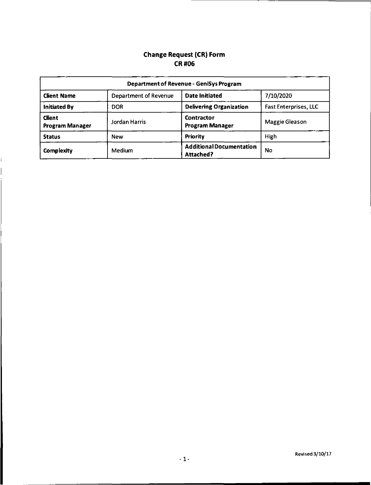## Change Request (CR) Form CR#06

| <b>Department of Revenue - GeniSys Program</b> |                       |                                                     |                              |
|------------------------------------------------|-----------------------|-----------------------------------------------------|------------------------------|
| <b>Client Name</b>                             | Department of Revenue | <b>Date Initiated</b>                               | 7/10/2020                    |
| <b>Initiated By</b>                            | DOR                   | <b>Delivering Organization</b>                      | <b>Fast Enterprises, LLC</b> |
| <b>Client</b><br><b>Program Manager</b>        | Jordan Harris         | Contractor<br><b>Program Manager</b>                | Maggie Gleason               |
| <b>Status</b>                                  | <b>New</b>            | Priority                                            | High                         |
| Complexity                                     | <b>Medium</b>         | <b>Additional Documentation</b><br><b>Attached?</b> | No                           |

ì.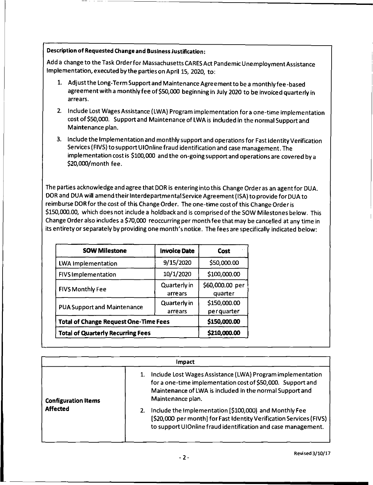### Description of Requested Change and Business Justification:

Add a change to the Task Orderfor Massachusetts CA RES Act Pandemic Unemployment Assistance Implementation, executed by the parties on April 15, 2020, to:

- 1. Adjust the Long-Term Support and Maintenance Agreementto be a monthly fee-based agreement with a monthly fee of \$50,000 beginning in July 2020 to be invoiced quarterly in arrears.
- 2. Include Lost Wages Assistance (LWA} Program implementation fora one-time implementation cost of \$50,000. Support and Maintenance of LWA is included in the normal Support and Maintenance plan.
- 3. Include the Implementation and monthly support and operations for Fast Identity Verification Services (FIVS} to support UIOnline fraud identification and case management. The implementation cost is \$100,000 and the on-going support and operations are covered by a \$20,000/month fee.

The parties acknowledge and agree that DOR is entering into this Change Order as an agentfor DUA. DOR and DUA will amend their Interdepartmental Service Agreement (ISA} to provide for DUA to reimburse DOR for the cost of this Change Order. The one-time cost of this Change Order is \$150,000.00, which does not include a holdback and is comprised of the SOW Milestones below. This Change Order also includes a \$70,000 reoccurring per month fee that may be cancelled at any time in its entirety or separately by providing one month's notice. The fees are specifically indicated below:

| <b>SOW Milestone</b>                         | <b>Invoice Date</b>        | $\sim$<br>Cost             |
|----------------------------------------------|----------------------------|----------------------------|
| <b>LWA Implementation</b>                    | 9/15/2020                  | \$50,000.00                |
| <b>FIVS Implementation</b>                   | 10/1/2020                  | \$100,000.00               |
| <b>FIVS Monthly Fee</b>                      | Quarterly in<br>arrears    | \$60,000.00 per<br>quarter |
| <b>PUA Support and Maintenance</b>           | \$150,000.00<br>perquarter |                            |
| <b>Total of Change Request One-Time Fees</b> | \$150,000.00               |                            |
| <b>Total of Quarterly Recurring Fees</b>     |                            | \$210,000.00               |

|                            | Impact                                                                                                                                                                                                     |
|----------------------------|------------------------------------------------------------------------------------------------------------------------------------------------------------------------------------------------------------|
| <b>Configuration Items</b> | Include Lost Wages Assistance (LWA) Program implementation<br>for a one-time implementation cost of \$50,000. Support and<br>Maintenance of LWA is included in the normal Support and<br>Maintenance plan. |
| <b>Affected</b>            | Include the Implementation [\$100,000) and Monthly Fee<br>2.<br>[\$20,000 per month] for Fast Identity Verification Services (FIVS)<br>to support UIOnline fraud identification and case management.       |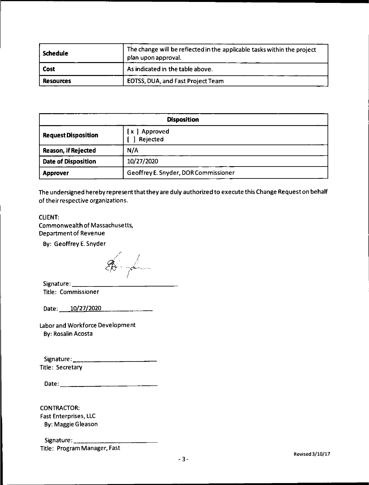| Schedule         | The change will be reflected in the applicable tasks within the project<br>plan upon approval. |  |
|------------------|------------------------------------------------------------------------------------------------|--|
| Cost             | As indicated in the table above.                                                               |  |
| <b>Resources</b> | <b>EOTSS, DUA, and Fast Project Team</b>                                                       |  |

| <b>Disposition</b>         |                                      |  |
|----------------------------|--------------------------------------|--|
| <b>Request Disposition</b> | [x ] Approved<br>Rejected            |  |
| Reason, if Rejected        | N/A                                  |  |
| <b>Date of Disposition</b> | 10/27/2020                           |  |
| <b>Approver</b>            | Geoffrey E. Snyder, DOR Commissioner |  |

The undersigned hereby represent that they are duly authorized to execute this Change Request on behalf of their respective organizations.

#### CLIENT:

Commonwealth of Massachusetts, Department of Revenue

By: Geoffrey E. Snyder

 $Signature:$ 

Title: Commissioner

Date: 10/27/2020

Labor and Workforce Development By: Rosalin Acosta

Signature: \_\_\_\_\_\_\_ Title: Secretary

| Date: |  |
|-------|--|
|       |  |

CONTRACTOR: Fast Enterprises, LLC By: Maggie Gleason

Signature: Title: Program Manager, Fast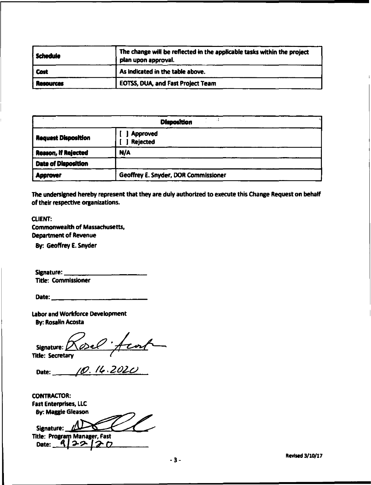| i Schedule       | The change will be reflected in the applicable tasks within the project<br>plan upon approval. |  |
|------------------|------------------------------------------------------------------------------------------------|--|
| <b>Cost</b>      | As indicated in the table above.                                                               |  |
| <b>Resources</b> | <b>EOTSS, DUA, and Fast Project Team</b>                                                       |  |

| <b>Disposition</b><br>$\cdot$ $\cdot$ |                                      |  |  |
|---------------------------------------|--------------------------------------|--|--|
| <b>Request Disposition</b>            | <b>Approved</b><br><b>Rejected</b>   |  |  |
| Reason, If Rejected                   | N/A                                  |  |  |
| <b>Date of Disposition</b>            |                                      |  |  |
| <b>Approver</b>                       | Geoffrey E. Snyder, DOR Commissioner |  |  |

The undersigned hereby represent that they are duly authorized to execute this Change Request on behalf of their respective organizations.

## CLIENT: Commonwealth of Massachusetts, Department of Revenue

By: Geoffrey E. Snyder

Signature: Title: Commissioner

Date: ------~----

Labor and Workforce Development **By: Rosalin Acosta** 

Title: Secretary Signature: Rosel;  $+ \cdot$ 

Date: 10.14.2020

CONTRACTOR: Fast Enterprises, LLC By: Maggle Gleason

Signature: <u>Manager</u>, Fast Date: 122120

-3- Revised 3/10/17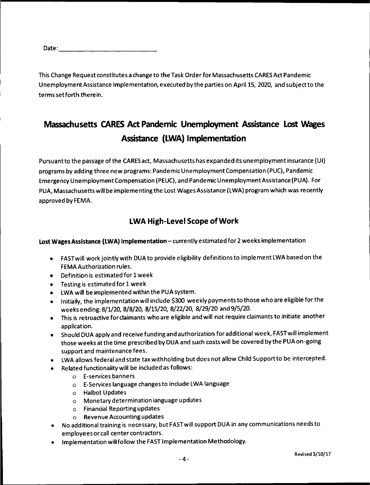| Date: |  |  |  |
|-------|--|--|--|
|       |  |  |  |

This Change Request constitutes a change to the Task Order for Massachusetts CARES Act Pandemic Unemployment Assistance Implementation, executed by the parties on April 15, 2020, and subject to the terms set forth therein.

# Ma~chusetts **CARES Act Pandemic Unemployment Assistance Lost Wages Assistance (LWA) Implementation**

Pursuant to the passage of the CARES act, Massachusetts has expanded its unemployment insurance (UI) programs by adding three new programs: PandemicUnemploymentCompensation (PUC), Pandemic Emergency Unemployment Compensation (PEUC), and Pandemic Unemployment Assistance (PUA). For PUA, Massachusetts will be implementing the Lost Wages Assistance (LWA) program which was recently approved by FEMA.

# **LWA High-Level Scope of Work**

## **Lost Wages Assistance (LWA) Implementation-** currently estimated for 2 weeks implementation

- FASTwill work jointly with DUA to provide eligibility definitions to implement LWA based on the FEMAAuthorization rules.
- Definition is estimated for 1 week
- Testing is estimated for 1 week
- LWA will be implemented within the PUA system.
- Initially, the implementation will include \$300 weekly payments to those who are eligible for the weeks ending: 8/1/20, 8/8/20, 8/15/20, 8/22/20, 8/29/20 and 9/5/20.
- This is retroactive for claimants who are eligible and will not require claimants to initiate another application.
- Should DUA apply and receive funding and authorization for additional week, FASTwill implement those weeks atthe time prescribed by DUA and such costs will be covered by the PUA on-going support and maintenance fees.
- LWA allows federal and state tax withholding but does not allow Child Support to be intercepted.
- Related functionality will be included as follows:
	- o E-services banners
	- o E-Services language changes to include LWA language
	- o Halbot Updates
	- o Monetary determination language updates
	- o Financial Reporting updates
	- o Revenue Accounting updates
- No additional training is necessary, but FASTwill support DUA in any communications needs to employees or call center contractors.
- Implementation will follow the FAST Implementation Methodology.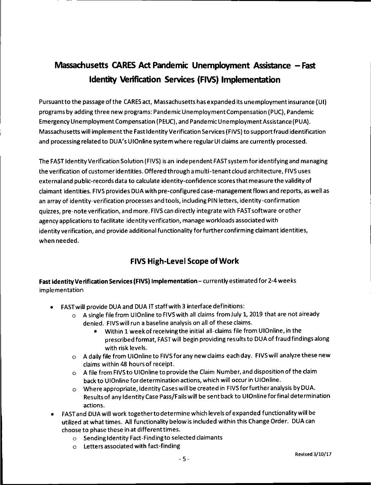# **Massachusetts CARES Act Pandemic Unemployment Assistance - Fast Identity Verification Services (FIVS) Implementation**

Pursuant to the passage of the CARES act, Massachusetts has expanded its unemployment insurance (UI) programs by adding three new programs: Pandemic Unemployment Compensation (PUC), Pandemic Emergency Unemployment Compensation (PEUC), and Pandemic Unemployment Assistance (PUA). Massachusetts will implement the Fast Identity Verification Services (FIVS) to support fraud identification and processing related to DUA's UIOnline system where regular UI claims are currently processed.

The FAST Identity Verification Solution (FIVS) is an independent FAST system for identifying and managing the verification of customer identities. Offered through a multi-tenant cloud architecture, FIVS uses external and public-records data to calculate identity-confidence scores that measure the validity of claimant identities. FIVS provides DUA with pre-configured case-management flows and reports, as well as an array of identity-verification processes and tools, including PIN letters, identity-confirmation quizzes, pre-note verification, and more. FIVScan directly integrate with FAST software or other agency applications to facilitate identity verification, manage workloads associated with identity verification, and provide additional functionality forfurtherconfirming claimant identities, when needed.

# **FIVS High-Level Scope of Work**

Fast Identity Verification Services (FIVS) Implementation - currently estimated for 2-4 weeks implementation

- FAST will provide DUA and DUA IT staff with 3 interface definitions:
	- $\circ$  A single file from UIOnline to FIVS with all claims from July 1, 2019 that are not already denied. FIVS will run a baseline analysis on all of these claims.
		- Within 1 week of receiving the initial all-claims file from UIOnline, in the prescribed format, FASTwill begin providing results to DUA of fraud findings along with risk levels.
	- o A daily file from UIOnline to FIVS for any new claims each day. Fl VS will analyze these new claims within 48 hours of receipt.
	- o A file from FIVSto UIOnline to provide the Claim Number, and disposition of the claim back to UIOnline for determination actions, which will occur in UIOnline.
	- o Where appropriate, Identity Cases will be created in FIVS for further analysis by DUA. Results of any Identity Case Pass/Fails will be sent back to UIOnline for final determination actions.
- FAST and DUA will work together to determine which levels of expanded functionality will be utilized at what times. All functionality below is included within this Change Order. DUA can choose to phase these in at different times.
	- o Sending Identity Fact-Finding to selected claimants
	- o Letters associated with fact-finding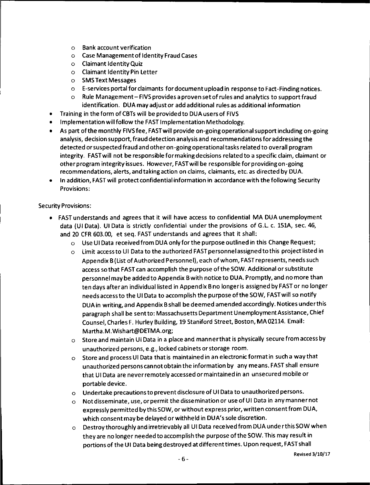- o Bank account verification
- o Case Management of Identity Fraud Cases
- o Claimant Identity Quiz
- o Claimant Identity Pin Letter
- o SMS Text Messages
- o E-services portal for claimants for document upload in response to Fact-Finding notices.
- Rule Management- FIVS provides a proven set of rules and analytics to support fraud identification. DUA may adjust or add additional rules as additional information
- Training in the form of CBTs will be provided to DUA users of FIVS
- Implementation will follow the FAST Implementation Methodology.
- As part of the monthly FIVS fee, FAST will provide on-going operational support including on-going analysis, decision support, fraud detection analysis and recommendations for addressing the detected or suspected fraud and other on-going operational tasks related to overall program integrity. FASTwill not be responsible for making decisions related to a specific claim, claimant or other program integrity issues. However, FASTwill be responsible forprovidingon-going recommendations, alerts, and taking action on claims, claimants, etc. as directed by DUA.
- In addition, FAST will protect confidential information in accordance with the following Security Provisions:

#### Security Provisions:

- FAST understands and agrees that it will have access to confidential MA DUA unemployment data (UI Data). UI Data is strictly confidential under the provisions of G.L. c. 151A, sec. 46, and 20 CFR 603.00, et seq. FAST understands and agrees that it shall:
	- $\circ$  Use UI Data received from DUA only for the purpose outlined in this Change Request;
	- o Limit access to UI Data to the authorized FAST personnel assigned to this project listed in Appendix B (List of Authorized Personnel), each of whom, FAST represents, needs such access so that FAST can accomplish the purpose of the SOW. Additional or substitute personnel may be added to Appendix B with notice to DUA. Promptly, and no more than ten days afteran individual listed in Appendix B no longer is assigned by FAST or no longer needs access to the UI Data to accomplish the purpose of the SOW, FASTwill so notify DUA in writing, and Appendix B shall be deemed amended accordingly. Notices underthis paragraph shall be sent to: Massachusetts Department Unemployment Assistance, Chief Counsel, Charles F. Hurley Building, 19 Staniford Street, Boston, MA 02114. Email: Martha.M.Wishart@DETMA.org;
	- $\circ$  Store and maintain UI Data in a place and manner that is physically secure from access by unauthorized persons, e.g., locked cabinets or storage room.
	- o Store and process UI Data that is maintained in an electronic formatin such a way that unauthorized persons cannot obtain the information by any means. FAST shall ensure that UI Data are never remotely accessed or maintained in an unsecured mobile or portable device.
	- o Undertake precautions to prevent disclosure of UI Data to unauthorized persons.
	- o Not disseminate, use, or permit the dissemination or use of UI Data in any manner not expressly permitted by this SOW, or without express prior, written consent from DUA, which consent may be delayed or withheld in DU A's sole discretion.
	- o Destroy thoroughly and irretrievably all UI Data received from DUA unde rthisSOW when they are no longer needed to accomplish the purpose of the SOW. This may result in portions of the UI Data being destroyed at different times. Upon request, FAST shall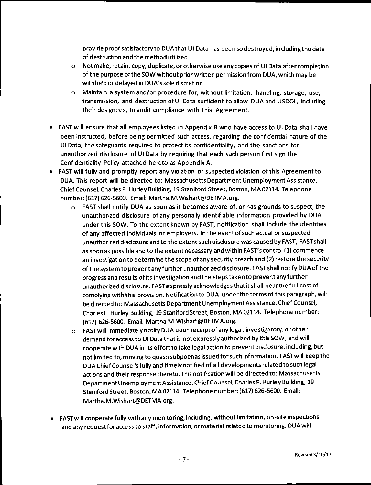provide proof satisfactory to DUA that UI Data has been so destroyed, including the date of destruction and the method utilized.

- o Not make, retain, copy, duplicate, or otherwise use any copies of UI Data after completion of the purpose of the SOW without prior written permission from DUA, which may be withheld or delayed in DUA's sole discretion.
- o Maintain a system and/or procedure for, without limitation, handling, storage, use, transmission, and destruction of UI Data sufficient to allow DUA and USDOL, including their designees, to audit compliance with this Agreement.
- FAST will ensure that all employees listed in Appendix B who have access to UI Data shall have been instructed, before being permitted such access, regarding the confidential nature of the UI Data, the safeguards required to protect its confidentiality, and the sanctions for unauthorized disclosure of UI Data by requiring that each such person first sign the Confidentiality Policy attached hereto as Appendix A.
- FAST will fully and promptly report any violation or suspected violation of this Agreement to DUA. This report will be directed to: Massachusetts Department Unemployment Assistance, Chief Counsel, Charles F. Hurley Building, 19 Staniford Street, Boston, MA 02114. Telephone number: (617) 626-5600. Email: Martha.M.Wishart@DETMA.org.
	- FAST shall notify DUA as soon as it becomes aware of, or has grounds to suspect, the unauthorized disclosure of any personally identifiable information provided by DUA under this SOW. To the extent known by FAST, notification shall include the identities of any affected individuals or employers. In the event of such actual or suspected unauthorized disclosure and to the extent such disclosure was caused by FAST, FAST shall as soon as possible and to the extent necessary and within FAST's control (1) commence an investigation to determine the scope of any security breach and (2) restore the security of the system to prevent any further unauthorized disclosure. FAST shall notify DUA of the progress and results of its investigation and the steps taken to prevent any further unauthorized disclosure. FAST expressly acknowledges that it shall bearthe full cost of complying with this provision. Notification to DUA, under the terms of this paragraph, will be directed to: Massachusetts Department Unemployment Assistance, Chief Counsel, Charles F. Hurley Building, 19 Staniford Street, Boston, MA02114. Telephone number: (617) 626-5600. Email: Martha.M.Wishart@DETMA.org.
	- o FAST will immediately notify DUA upon receipt of any legal, investigatory, or other demand for access to UI Data that is not expressly authorized by this SOW, and will cooperate with DUA in its effort to take legal action to prevent disclosure, including, but not limited to, moving to quash subpoenas issued for such information. FASTwill keep the DUA Chief Counsel's fully and timely notified of all developments related to such legal actions and their response thereto. This notification will be directed to: Massachusetts Department Unemployment Assistance, Chief Counsel, Charles F. Hurley Building, 19 Staniford Street, Boston, MA 02114. Telephone number: (617) 626-5600. Email: Martha.M.Wishart@DETMA.org.
- FAST will cooperate fully with any monitoring, including, without limitation, on-site inspections and any request for access to staff, information, or material related to monitoring. DUA will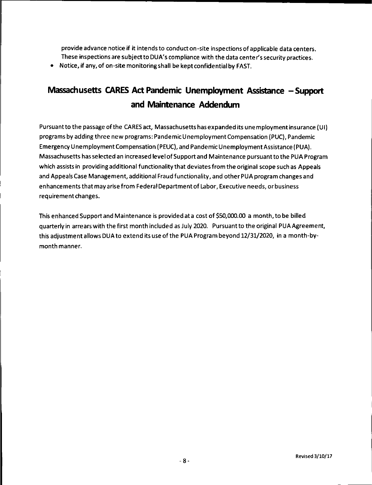provide advance notice if it intends to conduct on-site inspections of applicable data centers. These inspections are subject to DUA' s compliance with the data center's security practices.

• Notice, if any, of on-site monitoring shall be kept confidential by FAST.

# **Massachusetts CARES Act Pandemic Unemployment Assistance - Support and Maintenance Addendum**

Pursuant to the passage of the CARES act, Massachusetts has expanded its unemployment insurance (UI) programs by adding three new programs: Pandemic Unemployment Compensation (PUC), Pandemic Emergency Unemployment Compensation ( PEUC), and Pandemic Unemployment Assistance (PUA). Massachusetts has selected an increased level of Support and Maintenance pursuant to the PUA Program which assists in providing additional functionality that deviates from the original scope such as Appeals and Appeals Case Management, additional Fraud functionality, and other PUA program changes and enhancements that may arise from Federal Department of Labor, Executive needs, or business requirement changes.

This enhanced Support and Maintenance is provided at a cost of \$50,000.00 a month, to be billed quarterly in arrears with the first month included as July 2020. Pursuantto the original PUA Agreement, this adjustment allows DUA to extend its use of the PUA Program beyond 12/31/2020, in a month-bymonth manner.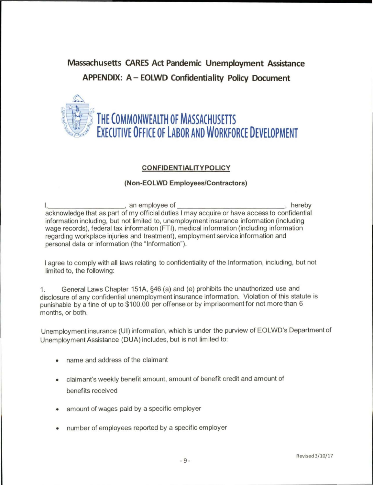# **Massachusetts CARES Act Pandemic Unemployment Assistance APPENDIX: A - EOLWD Confidentiality Policy Document**



### **CONFIDENTIALITYPOLICY**

### **(Non-EOLWD Employees/Contractors)**

I, an employee of , hereby acknowledge that as part of my official duties I may acquire or have access to confidential information including, but not limited to, unemployment insurance information (including wage records), federal tax information (FTI), medical information (including information regarding workplace injuries and treatment), employment service information and personal data or information (the "Information").

I agree to comply with all laws relating to confidentiality of the Information, including, but not limited to, the following:

1. General Laws Chapter 151A, §46 (a) and (e) prohibits the unauthorized use and disclosure of any confidential unemployment insurance information. Violation of this statute is punishable by a fine of up to \$100.00 per offense or by imprisonment for not more than 6 months, or both.

Unemployment insurance (UI) information, which is under the purview of EOLWD's Department of Unemployment Assistance (DUA) includes, but is not limited to:

- name and address of the claimant
- claimant's weekly benefit amount, amount of benefit credit and amount of benefits received
- amount of wages paid by a specific employer
- number of employees reported by a specific employer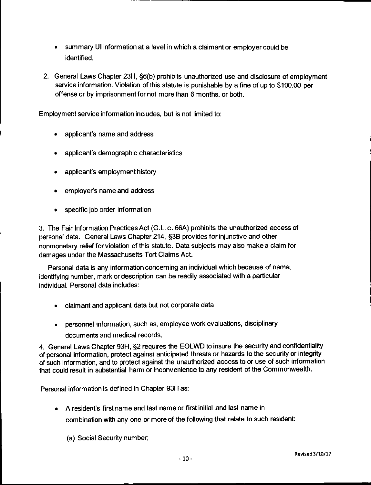- summary UI information at a level in which a claimant or employer could be identified.
- 2. General Laws Chapter 23H, §6(b) prohibits unauthorized use and disclosure of employment service information. Violation of this statute is punishable by a fine of up to \$100.00 per offense or by imprisonment for not more than 6 months, or both.

Employment service information includes, but is not limited to:

- applicant's name and address
- applicant's demographic characteristics
- applicant's employment history
- employer's name and address
- specific job order information

3. The Fair Information Practices Act (G.L. c. 66A) prohibits the unauthorized access of personal data. General Laws Chapter 214, §3B provides for injunctive and other nonmonetary relief for violation of this statute. Data subjects may also make a claim for damages under the Massachusetts Tort Claims Act.

Personal data is any information concerning an individual which because of name, identifying number, mark or description can be readily associated with a particular individual. Personal data includes:

- claimant and applicant data but not corporate data
- personnel information, such as, employee work evaluations, disciplinary documents and medical records.

4. General Laws Chapter 93H, §2 requires the EOLWD to insure the security and confidentiality of personal information, protect against anticipated threats or hazards to the security or integrity of such information, and to protect against the unauthorized access to or use of such information that could result in substantial harm or inconvenience to any resident of the Commonwealth.

Personal information is defined in Chapter 93H as:

- A resident's first name and last name or first initial and last name in combination with any one or more of the following that relate to such resident:
	- (a) Social Security number;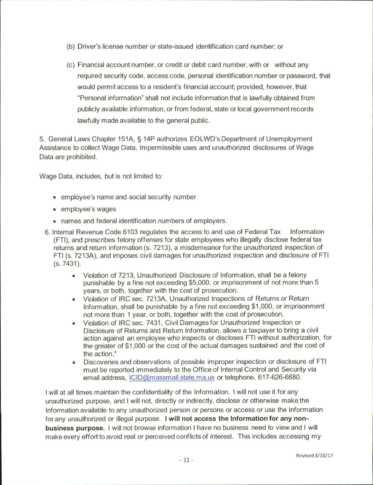- (b) Driver's license number or state-issued identification card number; or
- (c) Financial account number, or credit or debit card number, with or without any required security code, access code, personal identification number or password, that would permit access to a resident's financial account; provided, however, that "Personal information" shall not include information that is lawfully obtained from publicly available information, or from federal, state or local government records lawfully made available to the general public.

5. General Laws Chapter 151A, § 14P authorizes EOLWD's Department of Unemployment Assistance to collect Wage Data. Impermissible uses and unauthorized disclosures of Wage Data are prohibited.

Wage Data, includes, but is not limited to:

- employee's name and social security number
- employee's wages
- names and federal identification numbers of employers.
- 6. Internal Revenue Code 6103 regulates the access to and use of Federal Tax Information (FTI), and prescribes felony offenses for state employees who illegally disclose federal tax returns and return information (s. 7213), a misdemeanor for the unauthorized inspection of FTI (s. 7213A), and imposes civil damages for unauthorized inspection and disclosure of FTI (s. 7431).
	- Violation of 7213, Unauthorized Disclosure of Information, shall be a felony punishable by a fine not exceeding \$5,000, or imprisonment of not more than 5 years, or both, together with the cost of prosecution.
	- Violation of IRC sec. 7213A, Unauthorized Inspections of Returns or Return Information, shall be punishable by a fine not exceeding \$1,000, or imprisonment not more than 1 year, or both, together with the cost of prosecution.
	- Violation of IRC sec. 7431 , Civil Damages for Unauthorized Inspection or Disclosure of Returns and Return Information, allows a taxpayer to bring a civil action against an employee who inspects or discloses FTI without authorization, for the greater of \$1 ,000 or the cost of the actual damages sustained and the cost of the action.\*
	- Discoveries and observations of possible improper inspection or disclosure of FTI must be reported immediately to the Office of Internal Control and Security via email address, ICID@massmail.state.ma.us or telephone, 617-626-6680.

I will at all times maintain the confidentiality of the Information. I will not use it for any unauthorized purpose, and I will not, directly or indirectly, disclose or otherwise make the Information available to any unauthorized person or persons or access or use the Information for any unauthorized or illegal purpose. I **will not access the Information for any nonbusiness purpose.** I will not browse information I have no business need to view and I will make every effort to avoid real or perceived conflicts of interest. This includes accessing my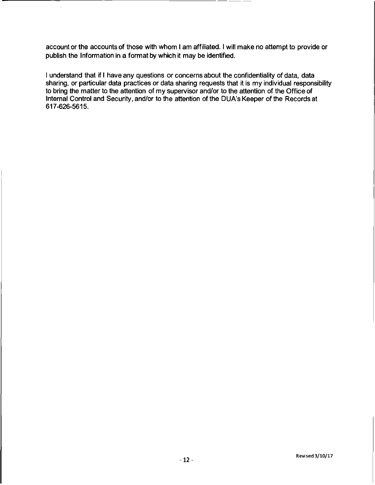account or the accounts of those with whom I am affiliated. I will make no attempt to provide or publish the Information in a format by which it may be identified.

I understand that if I have any questions or concerns about the confidentiality of data, data sharing, or particular data practices or data sharing requests that it is my individual responsibility to bring the matter to the attention of my supervisor and/or to the attention of the Office of Internal Control and Security, and/or to the attention of the DUA's Keeper of the Records at 617-626-5615.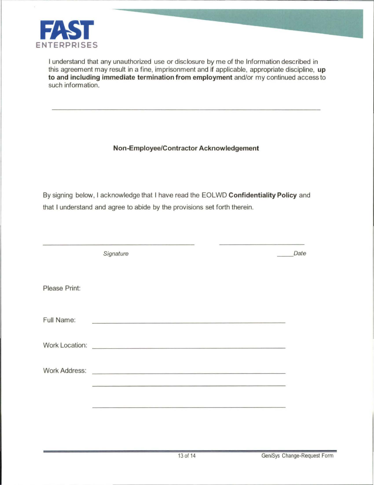

I understand that any unauthorized use or disclosure by me of the Information described in this agreement may result in a fine, imprisonment and if applicable, appropriate discipline, **up to and including immediate termination from employment** and/or my continued access to such information.

## **Non-Employee/Contractor Acknowledgement**

By signing below, I acknowledge that I have read the EOLWD **Confidentiality Policy** and that I understand and agree to abide by the provisions set forth therein.

|               | Signature                                                                                                                                                                                                                            | Date |
|---------------|--------------------------------------------------------------------------------------------------------------------------------------------------------------------------------------------------------------------------------------|------|
| Please Print: |                                                                                                                                                                                                                                      |      |
| Full Name:    | the problem in the control of the company of the control of the control of the control of the control of the control of the control of the control of the control of the control of the control of the control of the control        |      |
|               | Work Location: <u>Contract of the Contract of the Contract of the Contract of the Contract of the Contract of the Contract of the Contract of the Contract of the Contract of the Contract of the Contract of the Contract of th</u> |      |
|               | Work Address: What Address and the Contract of the Contract of the Contract of the Contract of the Contract of the Contract of the Contract of the Contract of the Contract of the Contract of the Contract of the Contract of       |      |
|               | <u> 1980 - Andrea Andrea Andrea Andrea Andrea Andrea Andrea Andrea Andrea Andrea Andrea Andrea Andrea Andrea Andr</u>                                                                                                                |      |
|               |                                                                                                                                                                                                                                      |      |